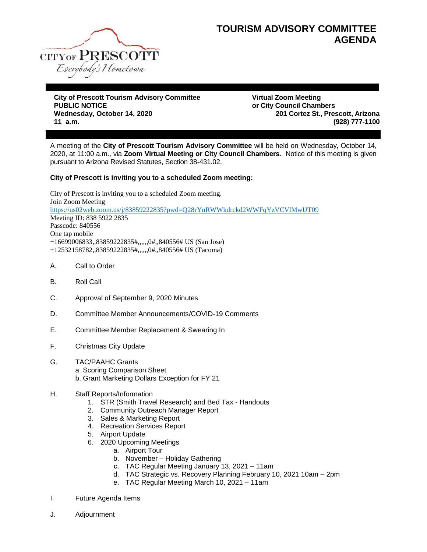

## **TOURISM ADVISORY COMMITTEE AGENDA**

**City of Prescott Tourism Advisory Committee Virtual Zoom Meeting PUBLIC NOTICE or City Council Chambers Wednesday, October 14, 2020 201 Cortez St., Prescott, Arizona 11 a.m. (928) 777-1100**

A meeting of the **City of Prescott Tourism Advisory Committee** will be held on Wednesday, October 14, 2020, at 11:00 a.m., via **Zoom Virtual Meeting or City Council Chambers**. Notice of this meeting is given pursuant to Arizona Revised Statutes, Section 38-431.02.

## **City of Prescott is inviting you to a scheduled Zoom meeting:**

City of Prescott is inviting you to a scheduled Zoom meeting. Join Zoom Meeting <https://us02web.zoom.us/j/83859222835?pwd=Q28rYnRWWkdrckd2WWFqYzVCVlMwUT09> Meeting ID: 838 5922 2835 Passcode: 840556 One tap mobile +16699006833,,83859222835#,,,,,,0#,,840556# US (San Jose) +12532158782,,83859222835#,,,,,,0#,,840556# US (Tacoma)

- A. Call to Order
- B. Roll Call
- C. Approval of September 9, 2020 Minutes
- D. Committee Member Announcements/COVID-19 Comments
- E. Committee Member Replacement & Swearing In
- F. Christmas City Update
- G. TAC/PAAHC Grants a. Scoring Comparison Sheet b. Grant Marketing Dollars Exception for FY 21
- H. Staff Reports/Information
	- 1. STR (Smith Travel Research) and Bed Tax Handouts
	- 2. Community Outreach Manager Report
	- 3. Sales & Marketing Report
	- 4. Recreation Services Report
	- 5. Airport Update
	- 6. 2020 Upcoming Meetings
		- a. Airport Tour
		- b. November Holiday Gathering
		- c. TAC Regular Meeting January 13, 2021 11am
		- d. TAC Strategic vs. Recovery Planning February 10, 2021 10am 2pm
		- e. TAC Regular Meeting March 10, 2021 11am
- I. Future Agenda Items
- J. Adjournment